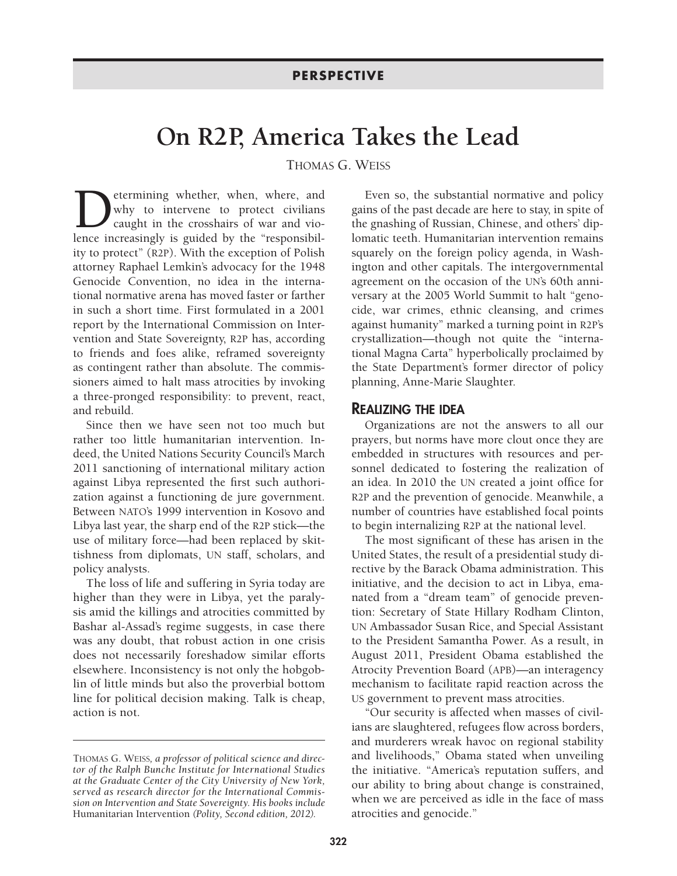## **On R2P, America Takes the Lead**

THOMAS G. WEISS

**D**etermining whether, when, where, and why to intervene to protect civilians caught in the crosshairs of war and violence increasingly is guided by the "responsibilwhy to intervene to protect civilians caught in the crosshairs of war and violence increasingly is guided by the "responsibility to protect" (R2P). With the exception of Polish attorney Raphael Lemkin's advocacy for the 1948 Genocide Convention, no idea in the international normative arena has moved faster or farther in such a short time. First formulated in a 2001 report by the International Commission on Intervention and State Sovereignty, R2P has, according to friends and foes alike, reframed sovereignty as contingent rather than absolute. The commissioners aimed to halt mass atrocities by invoking a three-pronged responsibility: to prevent, react, and rebuild.

Since then we have seen not too much but rather too little humanitarian intervention. Indeed, the United Nations Security Council's March 2011 sanctioning of international military action against Libya represented the first such authorization against a functioning de jure government. Between NATO's 1999 intervention in Kosovo and Libya last year, the sharp end of the R2P stick—the use of military force—had been replaced by skittishness from diplomats, UN staff, scholars, and policy analysts.

The loss of life and suffering in Syria today are higher than they were in Libya, yet the paralysis amid the killings and atrocities committed by Bashar al-Assad's regime suggests, in case there was any doubt, that robust action in one crisis does not necessarily foreshadow similar efforts elsewhere. Inconsistency is not only the hobgoblin of little minds but also the proverbial bottom line for political decision making. Talk is cheap, action is not.

Even so, the substantial normative and policy gains of the past decade are here to stay, in spite of the gnashing of Russian, Chinese, and others' diplomatic teeth. Humanitarian intervention remains squarely on the foreign policy agenda, in Washington and other capitals. The intergovernmental agreement on the occasion of the UN's 60th anniversary at the 2005 World Summit to halt "genocide, war crimes, ethnic cleansing, and crimes against humanity" marked a turning point in R2P's crystallization—though not quite the "international Magna Carta" hyperbolically proclaimed by the State Department's former director of policy planning, Anne-Marie Slaughter.

## REALIZING THE IDEA

Organizations are not the answers to all our prayers, but norms have more clout once they are embedded in structures with resources and personnel dedicated to fostering the realization of an idea. In 2010 the UN created a joint office for R2P and the prevention of genocide. Meanwhile, a number of countries have established focal points to begin internalizing R2P at the national level.

The most significant of these has arisen in the United States, the result of a presidential study directive by the Barack Obama administration. This initiative, and the decision to act in Libya, emanated from a "dream team" of genocide prevention: Secretary of State Hillary Rodham Clinton, UN Ambassador Susan Rice, and Special Assistant to the President Samantha Power. As a result, in August 2011, President Obama established the Atrocity Prevention Board (APB)—an interagency mechanism to facilitate rapid reaction across the US government to prevent mass atrocities.

"Our security is affected when masses of civilians are slaughtered, refugees flow across borders, and murderers wreak havoc on regional stability and livelihoods," Obama stated when unveiling the initiative. "America's reputation suffers, and our ability to bring about change is constrained, when we are perceived as idle in the face of mass atrocities and genocide."

THOMAS G. WEISS*, a professor of political science and director of the Ralph Bunche Institute for International Studies at the Graduate Center of the City University of New York, served as research director for the International Commission on Intervention and State Sovereignty. His books include* Humanitarian Intervention *(Polity, Second edition, 2012).*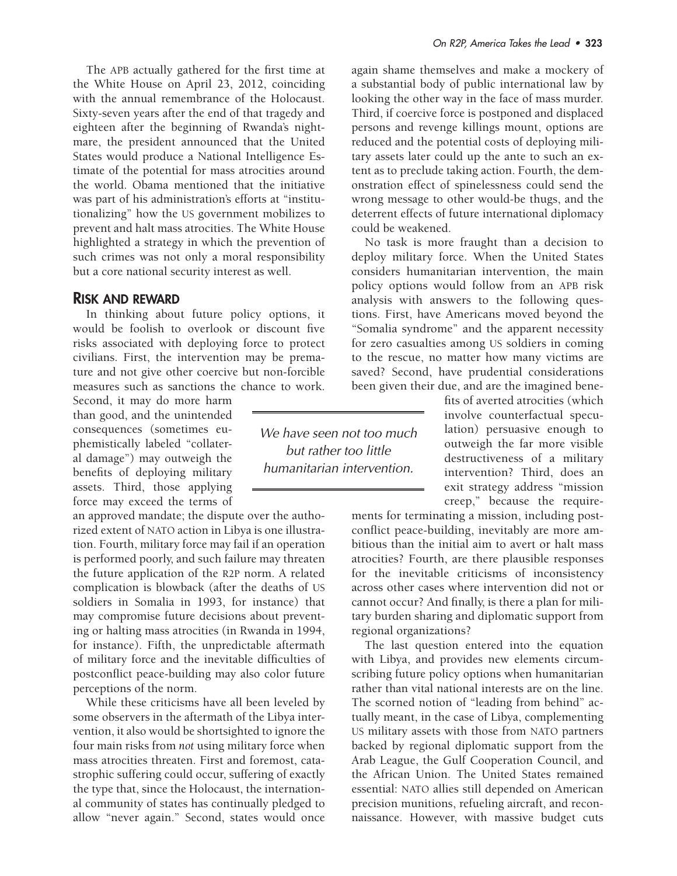The APB actually gathered for the first time at the White House on April 23, 2012, coinciding with the annual remembrance of the Holocaust. Sixty-seven years after the end of that tragedy and eighteen after the beginning of Rwanda's nightmare, the president announced that the United States would produce a National Intelligence Estimate of the potential for mass atrocities around the world. Obama mentioned that the initiative was part of his administration's efforts at "institutionalizing" how the US government mobilizes to prevent and halt mass atrocities. The White House highlighted a strategy in which the prevention of such crimes was not only a moral responsibility but a core national security interest as well.

## RISK AND REWARD

In thinking about future policy options, it would be foolish to overlook or discount five risks associated with deploying force to protect civilians. First, the intervention may be premature and not give other coercive but non-forcible measures such as sanctions the chance to work.

Second, it may do more harm than good, and the unintended consequences (sometimes euphemistically labeled "collateral damage") may outweigh the benefits of deploying military assets. Third, those applying force may exceed the terms of

an approved mandate; the dispute over the authorized extent of NATO action in Libya is one illustration. Fourth, military force may fail if an operation is performed poorly, and such failure may threaten the future application of the R2P norm. A related complication is blowback (after the deaths of US soldiers in Somalia in 1993, for instance) that may compromise future decisions about preventing or halting mass atrocities (in Rwanda in 1994, for instance). Fifth, the unpredictable aftermath of military force and the inevitable difficulties of postconflict peace-building may also color future perceptions of the norm.

While these criticisms have all been leveled by some observers in the aftermath of the Libya intervention, it also would be shortsighted to ignore the four main risks from *not* using military force when mass atrocities threaten. First and foremost, catastrophic suffering could occur, suffering of exactly the type that, since the Holocaust, the international community of states has continually pledged to allow "never again." Second, states would once again shame themselves and make a mockery of a substantial body of public international law by looking the other way in the face of mass murder. Third, if coercive force is postponed and displaced persons and revenge killings mount, options are reduced and the potential costs of deploying military assets later could up the ante to such an extent as to preclude taking action. Fourth, the demonstration effect of spinelessness could send the wrong message to other would-be thugs, and the deterrent effects of future international diplomacy could be weakened.

No task is more fraught than a decision to deploy military force. When the United States considers humanitarian intervention, the main policy options would follow from an APB risk analysis with answers to the following questions. First, have Americans moved beyond the "Somalia syndrome" and the apparent necessity for zero casualties among US soldiers in coming to the rescue, no matter how many victims are saved? Second, have prudential considerations been given their due, and are the imagined bene-

> fits of averted atrocities (which involve counterfactual speculation) persuasive enough to outweigh the far more visible destructiveness of a military intervention? Third, does an exit strategy address "mission creep," because the require-

ments for terminating a mission, including postconflict peace-building, inevitably are more ambitious than the initial aim to avert or halt mass atrocities? Fourth, are there plausible responses for the inevitable criticisms of inconsistency across other cases where intervention did not or cannot occur? And finally, is there a plan for military burden sharing and diplomatic support from regional organizations?

The last question entered into the equation with Libya, and provides new elements circumscribing future policy options when humanitarian rather than vital national interests are on the line. The scorned notion of "leading from behind" actually meant, in the case of Libya, complementing US military assets with those from NATO partners backed by regional diplomatic support from the Arab League, the Gulf Cooperation Council, and the African Union. The United States remained essential: NATO allies still depended on American precision munitions, refueling aircraft, and reconnaissance. However, with massive budget cuts

We have seen not too much but rather too little humanitarian intervention.